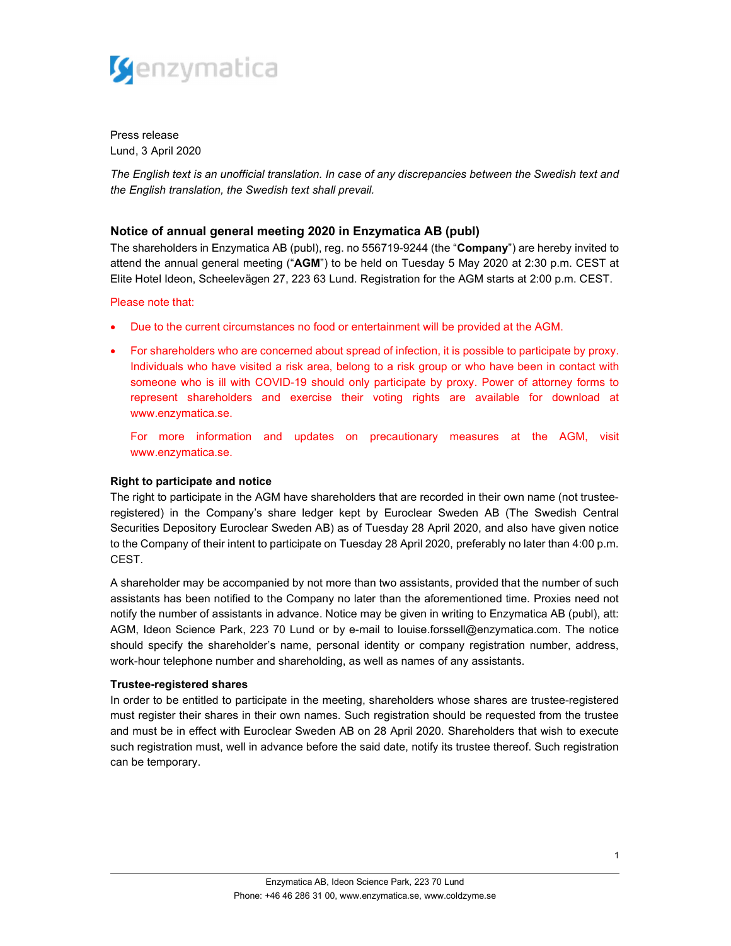

Press release Lund, 3 April 2020

The English text is an unofficial translation. In case of any discrepancies between the Swedish text and the English translation, the Swedish text shall prevail.

# Notice of annual general meeting 2020 in Enzymatica AB (publ)

The shareholders in Enzymatica AB (publ), reg. no 556719-9244 (the "Company") are hereby invited to attend the annual general meeting ("AGM") to be held on Tuesday 5 May 2020 at 2:30 p.m. CEST at Elite Hotel Ideon, Scheelevägen 27, 223 63 Lund. Registration for the AGM starts at 2:00 p.m. CEST.

Please note that:

- Due to the current circumstances no food or entertainment will be provided at the AGM.
- For shareholders who are concerned about spread of infection, it is possible to participate by proxy. Individuals who have visited a risk area, belong to a risk group or who have been in contact with someone who is ill with COVID-19 should only participate by proxy. Power of attorney forms to represent shareholders and exercise their voting rights are available for download at www.enzymatica.se.

For more information and updates on precautionary measures at the AGM, visit www.enzymatica.se.

# Right to participate and notice

The right to participate in the AGM have shareholders that are recorded in their own name (not trusteeregistered) in the Company's share ledger kept by Euroclear Sweden AB (The Swedish Central Securities Depository Euroclear Sweden AB) as of Tuesday 28 April 2020, and also have given notice to the Company of their intent to participate on Tuesday 28 April 2020, preferably no later than 4:00 p.m. CEST.

A shareholder may be accompanied by not more than two assistants, provided that the number of such assistants has been notified to the Company no later than the aforementioned time. Proxies need not notify the number of assistants in advance. Notice may be given in writing to Enzymatica AB (publ), att: AGM, Ideon Science Park, 223 70 Lund or by e-mail to louise.forssell@enzymatica.com. The notice should specify the shareholder's name, personal identity or company registration number, address, work-hour telephone number and shareholding, as well as names of any assistants.

### Trustee-registered shares

In order to be entitled to participate in the meeting, shareholders whose shares are trustee-registered must register their shares in their own names. Such registration should be requested from the trustee and must be in effect with Euroclear Sweden AB on 28 April 2020. Shareholders that wish to execute such registration must, well in advance before the said date, notify its trustee thereof. Such registration can be temporary.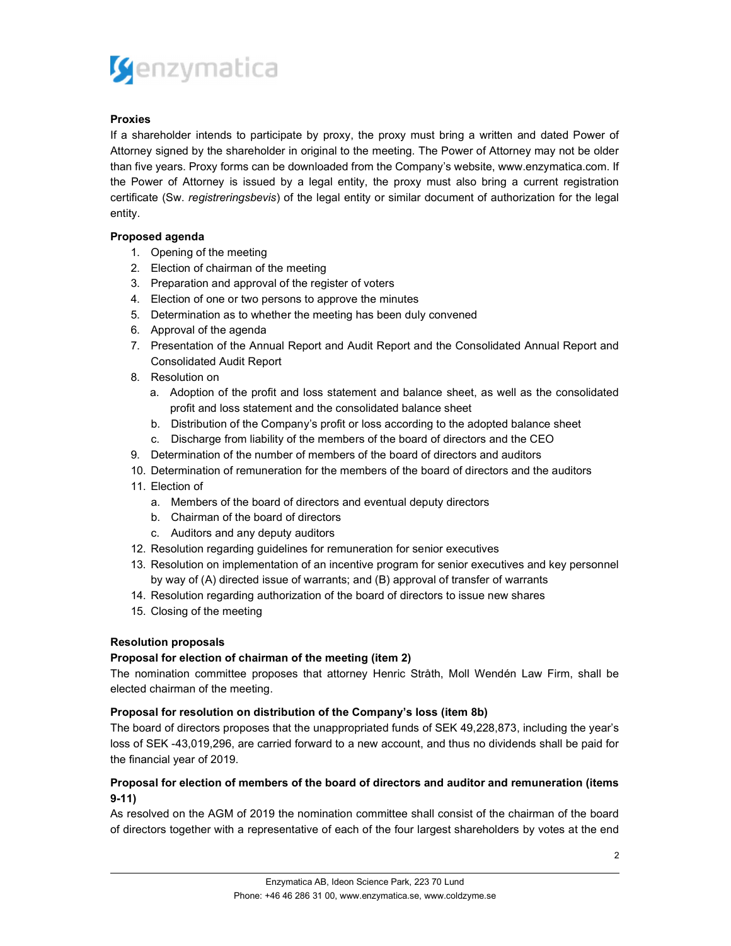

# Proxies

If a shareholder intends to participate by proxy, the proxy must bring a written and dated Power of Attorney signed by the shareholder in original to the meeting. The Power of Attorney may not be older than five years. Proxy forms can be downloaded from the Company's website, www.enzymatica.com. If the Power of Attorney is issued by a legal entity, the proxy must also bring a current registration certificate (Sw. registreringsbevis) of the legal entity or similar document of authorization for the legal entity.

# Proposed agenda

- 1. Opening of the meeting
- 2. Election of chairman of the meeting
- 3. Preparation and approval of the register of voters
- 4. Election of one or two persons to approve the minutes
- 5. Determination as to whether the meeting has been duly convened
- 6. Approval of the agenda
- 7. Presentation of the Annual Report and Audit Report and the Consolidated Annual Report and Consolidated Audit Report
- 8. Resolution on
	- a. Adoption of the profit and loss statement and balance sheet, as well as the consolidated profit and loss statement and the consolidated balance sheet
	- b. Distribution of the Company's profit or loss according to the adopted balance sheet
	- c. Discharge from liability of the members of the board of directors and the CEO
- 9. Determination of the number of members of the board of directors and auditors
- 10. Determination of remuneration for the members of the board of directors and the auditors
- 11. Election of
	- a. Members of the board of directors and eventual deputy directors
	- b. Chairman of the board of directors
	- c. Auditors and any deputy auditors
- 12. Resolution regarding guidelines for remuneration for senior executives
- 13. Resolution on implementation of an incentive program for senior executives and key personnel by way of (A) directed issue of warrants; and (B) approval of transfer of warrants
- 14. Resolution regarding authorization of the board of directors to issue new shares
- 15. Closing of the meeting

# Resolution proposals

# Proposal for election of chairman of the meeting (item 2)

The nomination committee proposes that attorney Henric Stråth, Moll Wendén Law Firm, shall be elected chairman of the meeting.

# Proposal for resolution on distribution of the Company's loss (item 8b)

The board of directors proposes that the unappropriated funds of SEK 49,228,873, including the year's loss of SEK -43,019,296, are carried forward to a new account, and thus no dividends shall be paid for the financial year of 2019.

# Proposal for election of members of the board of directors and auditor and remuneration (items 9-11)

As resolved on the AGM of 2019 the nomination committee shall consist of the chairman of the board of directors together with a representative of each of the four largest shareholders by votes at the end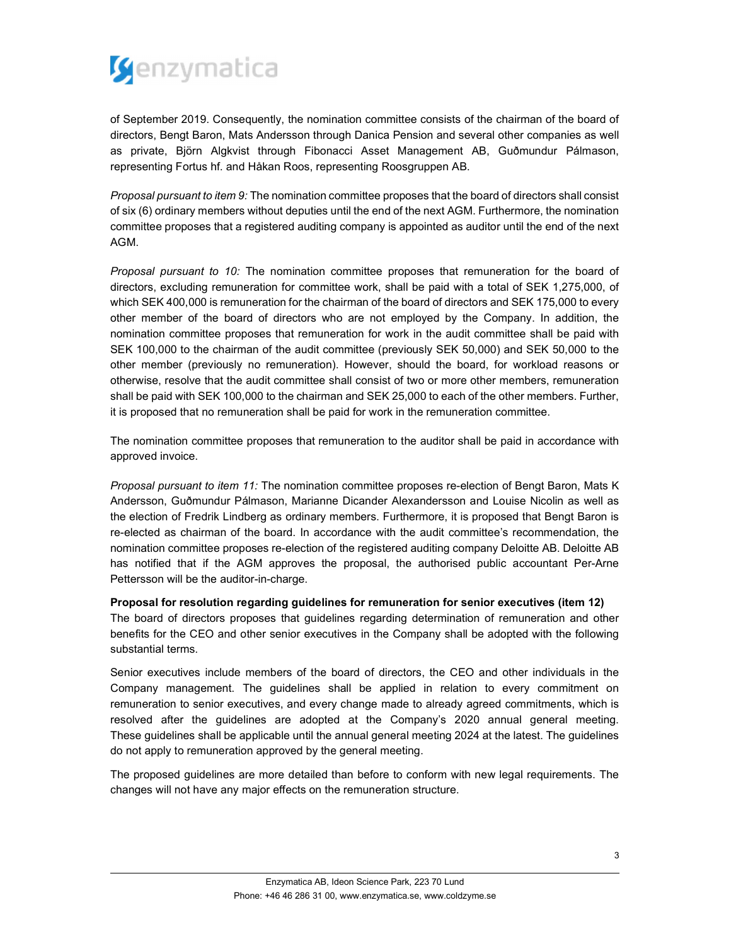

of September 2019. Consequently, the nomination committee consists of the chairman of the board of directors, Bengt Baron, Mats Andersson through Danica Pension and several other companies as well as private, Björn Algkvist through Fibonacci Asset Management AB, Guðmundur Pálmason, representing Fortus hf. and Håkan Roos, representing Roosgruppen AB.

Proposal pursuant to item 9: The nomination committee proposes that the board of directors shall consist of six (6) ordinary members without deputies until the end of the next AGM. Furthermore, the nomination committee proposes that a registered auditing company is appointed as auditor until the end of the next AGM.

Proposal pursuant to 10: The nomination committee proposes that remuneration for the board of directors, excluding remuneration for committee work, shall be paid with a total of SEK 1,275,000, of which SEK 400,000 is remuneration for the chairman of the board of directors and SEK 175,000 to every other member of the board of directors who are not employed by the Company. In addition, the nomination committee proposes that remuneration for work in the audit committee shall be paid with SEK 100,000 to the chairman of the audit committee (previously SEK 50,000) and SEK 50,000 to the other member (previously no remuneration). However, should the board, for workload reasons or otherwise, resolve that the audit committee shall consist of two or more other members, remuneration shall be paid with SEK 100,000 to the chairman and SEK 25,000 to each of the other members. Further, it is proposed that no remuneration shall be paid for work in the remuneration committee.

The nomination committee proposes that remuneration to the auditor shall be paid in accordance with approved invoice.

Proposal pursuant to item 11: The nomination committee proposes re-election of Bengt Baron, Mats K Andersson, Guðmundur Pálmason, Marianne Dicander Alexandersson and Louise Nicolin as well as the election of Fredrik Lindberg as ordinary members. Furthermore, it is proposed that Bengt Baron is re-elected as chairman of the board. In accordance with the audit committee's recommendation, the nomination committee proposes re-election of the registered auditing company Deloitte AB. Deloitte AB has notified that if the AGM approves the proposal, the authorised public accountant Per-Arne Pettersson will be the auditor-in-charge.

Proposal for resolution regarding guidelines for remuneration for senior executives (item 12)

The board of directors proposes that guidelines regarding determination of remuneration and other benefits for the CEO and other senior executives in the Company shall be adopted with the following substantial terms.

Senior executives include members of the board of directors, the CEO and other individuals in the Company management. The guidelines shall be applied in relation to every commitment on remuneration to senior executives, and every change made to already agreed commitments, which is resolved after the guidelines are adopted at the Company's 2020 annual general meeting. These guidelines shall be applicable until the annual general meeting 2024 at the latest. The guidelines do not apply to remuneration approved by the general meeting.

The proposed guidelines are more detailed than before to conform with new legal requirements. The changes will not have any major effects on the remuneration structure.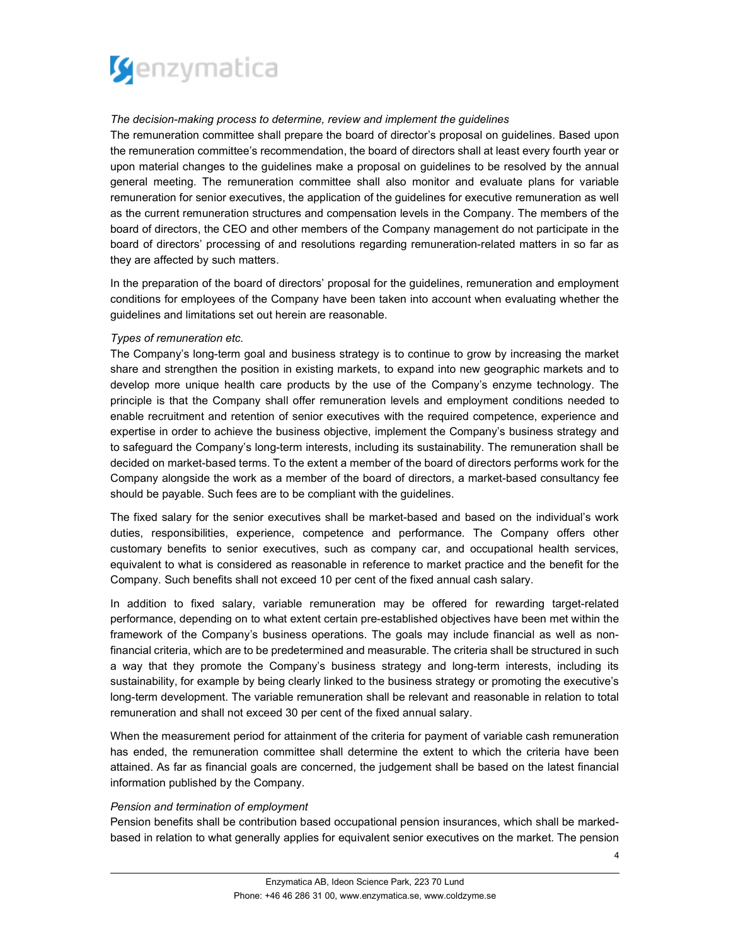

## The decision-making process to determine, review and implement the guidelines

The remuneration committee shall prepare the board of director's proposal on guidelines. Based upon the remuneration committee's recommendation, the board of directors shall at least every fourth year or upon material changes to the guidelines make a proposal on guidelines to be resolved by the annual general meeting. The remuneration committee shall also monitor and evaluate plans for variable remuneration for senior executives, the application of the guidelines for executive remuneration as well as the current remuneration structures and compensation levels in the Company. The members of the board of directors, the CEO and other members of the Company management do not participate in the board of directors' processing of and resolutions regarding remuneration-related matters in so far as they are affected by such matters.

In the preparation of the board of directors' proposal for the guidelines, remuneration and employment conditions for employees of the Company have been taken into account when evaluating whether the guidelines and limitations set out herein are reasonable.

### Types of remuneration etc.

The Company's long-term goal and business strategy is to continue to grow by increasing the market share and strengthen the position in existing markets, to expand into new geographic markets and to develop more unique health care products by the use of the Company's enzyme technology. The principle is that the Company shall offer remuneration levels and employment conditions needed to enable recruitment and retention of senior executives with the required competence, experience and expertise in order to achieve the business objective, implement the Company's business strategy and to safeguard the Company's long-term interests, including its sustainability. The remuneration shall be decided on market-based terms. To the extent a member of the board of directors performs work for the Company alongside the work as a member of the board of directors, a market-based consultancy fee should be payable. Such fees are to be compliant with the guidelines.

The fixed salary for the senior executives shall be market-based and based on the individual's work duties, responsibilities, experience, competence and performance. The Company offers other customary benefits to senior executives, such as company car, and occupational health services, equivalent to what is considered as reasonable in reference to market practice and the benefit for the Company. Such benefits shall not exceed 10 per cent of the fixed annual cash salary.

In addition to fixed salary, variable remuneration may be offered for rewarding target-related performance, depending on to what extent certain pre-established objectives have been met within the framework of the Company's business operations. The goals may include financial as well as nonfinancial criteria, which are to be predetermined and measurable. The criteria shall be structured in such a way that they promote the Company's business strategy and long-term interests, including its sustainability, for example by being clearly linked to the business strategy or promoting the executive's long-term development. The variable remuneration shall be relevant and reasonable in relation to total remuneration and shall not exceed 30 per cent of the fixed annual salary.

When the measurement period for attainment of the criteria for payment of variable cash remuneration has ended, the remuneration committee shall determine the extent to which the criteria have been attained. As far as financial goals are concerned, the judgement shall be based on the latest financial information published by the Company.

### Pension and termination of employment

Pension benefits shall be contribution based occupational pension insurances, which shall be markedbased in relation to what generally applies for equivalent senior executives on the market. The pension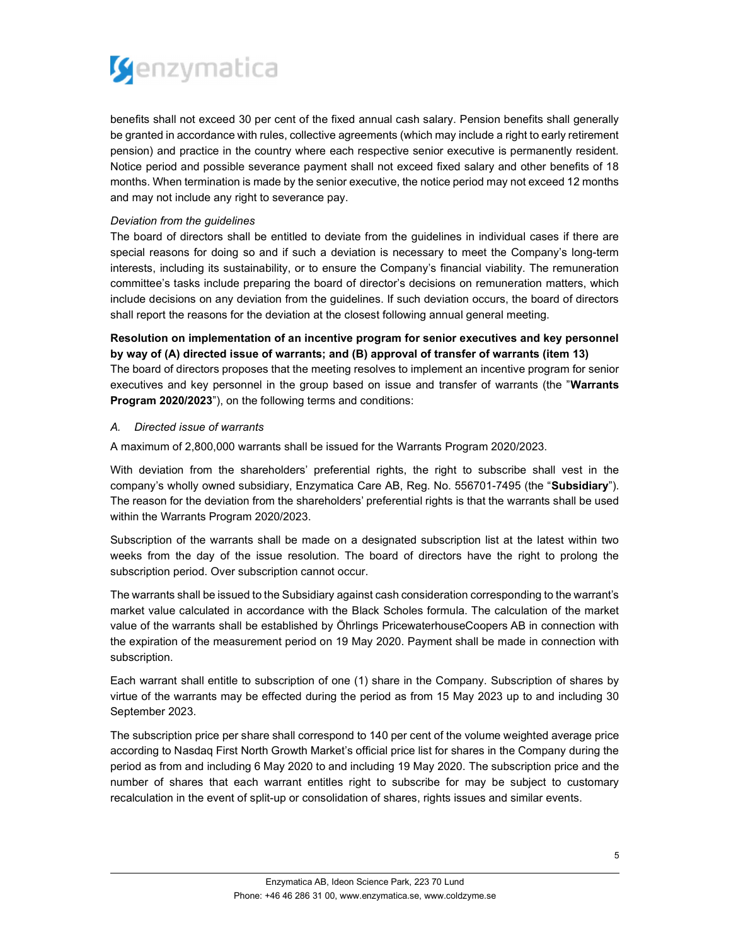

benefits shall not exceed 30 per cent of the fixed annual cash salary. Pension benefits shall generally be granted in accordance with rules, collective agreements (which may include a right to early retirement pension) and practice in the country where each respective senior executive is permanently resident. Notice period and possible severance payment shall not exceed fixed salary and other benefits of 18 months. When termination is made by the senior executive, the notice period may not exceed 12 months and may not include any right to severance pay.

## Deviation from the guidelines

The board of directors shall be entitled to deviate from the guidelines in individual cases if there are special reasons for doing so and if such a deviation is necessary to meet the Company's long-term interests, including its sustainability, or to ensure the Company's financial viability. The remuneration committee's tasks include preparing the board of director's decisions on remuneration matters, which include decisions on any deviation from the guidelines. If such deviation occurs, the board of directors shall report the reasons for the deviation at the closest following annual general meeting.

# Resolution on implementation of an incentive program for senior executives and key personnel by way of (A) directed issue of warrants; and (B) approval of transfer of warrants (item 13)

The board of directors proposes that the meeting resolves to implement an incentive program for senior executives and key personnel in the group based on issue and transfer of warrants (the "Warrants" Program 2020/2023"), on the following terms and conditions:

# A. Directed issue of warrants

A maximum of 2,800,000 warrants shall be issued for the Warrants Program 2020/2023.

With deviation from the shareholders' preferential rights, the right to subscribe shall vest in the company's wholly owned subsidiary, Enzymatica Care AB, Reg. No. 556701-7495 (the "Subsidiary"). The reason for the deviation from the shareholders' preferential rights is that the warrants shall be used within the Warrants Program 2020/2023.

Subscription of the warrants shall be made on a designated subscription list at the latest within two weeks from the day of the issue resolution. The board of directors have the right to prolong the subscription period. Over subscription cannot occur.

The warrants shall be issued to the Subsidiary against cash consideration corresponding to the warrant's market value calculated in accordance with the Black Scholes formula. The calculation of the market value of the warrants shall be established by Öhrlings PricewaterhouseCoopers AB in connection with the expiration of the measurement period on 19 May 2020. Payment shall be made in connection with subscription.

Each warrant shall entitle to subscription of one (1) share in the Company. Subscription of shares by virtue of the warrants may be effected during the period as from 15 May 2023 up to and including 30 September 2023.

The subscription price per share shall correspond to 140 per cent of the volume weighted average price according to Nasdaq First North Growth Market's official price list for shares in the Company during the period as from and including 6 May 2020 to and including 19 May 2020. The subscription price and the number of shares that each warrant entitles right to subscribe for may be subject to customary recalculation in the event of split-up or consolidation of shares, rights issues and similar events.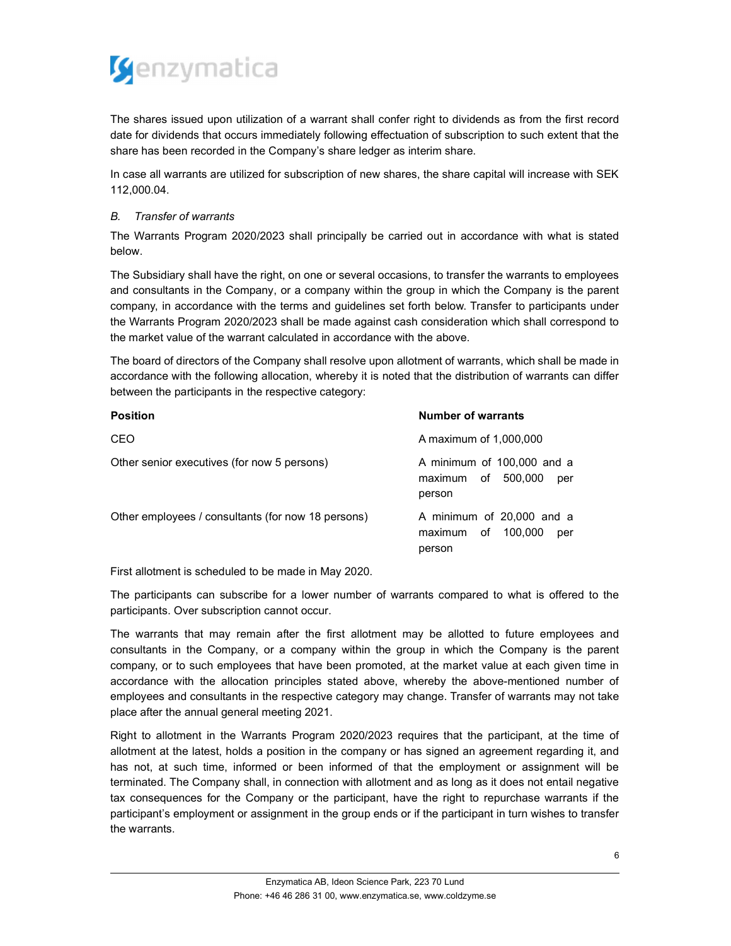

The shares issued upon utilization of a warrant shall confer right to dividends as from the first record date for dividends that occurs immediately following effectuation of subscription to such extent that the share has been recorded in the Company's share ledger as interim share.

In case all warrants are utilized for subscription of new shares, the share capital will increase with SEK 112,000.04.

# B. Transfer of warrants

The Warrants Program 2020/2023 shall principally be carried out in accordance with what is stated below.

The Subsidiary shall have the right, on one or several occasions, to transfer the warrants to employees and consultants in the Company, or a company within the group in which the Company is the parent company, in accordance with the terms and guidelines set forth below. Transfer to participants under the Warrants Program 2020/2023 shall be made against cash consideration which shall correspond to the market value of the warrant calculated in accordance with the above.

The board of directors of the Company shall resolve upon allotment of warrants, which shall be made in accordance with the following allocation, whereby it is noted that the distribution of warrants can differ between the participants in the respective category:

| <b>Position</b>                                    | <b>Number of warrants</b>                                              |
|----------------------------------------------------|------------------------------------------------------------------------|
| CEO                                                | A maximum of 1,000,000                                                 |
| Other senior executives (for now 5 persons)        | A minimum of 100,000 and a<br>maximum of 500,000<br>per<br>person      |
| Other employees / consultants (for now 18 persons) | A minimum of 20,000 and a<br>of<br>100.000<br>maximum<br>per<br>person |

First allotment is scheduled to be made in May 2020.

The participants can subscribe for a lower number of warrants compared to what is offered to the participants. Over subscription cannot occur.

The warrants that may remain after the first allotment may be allotted to future employees and consultants in the Company, or a company within the group in which the Company is the parent company, or to such employees that have been promoted, at the market value at each given time in accordance with the allocation principles stated above, whereby the above-mentioned number of employees and consultants in the respective category may change. Transfer of warrants may not take place after the annual general meeting 2021.

Right to allotment in the Warrants Program 2020/2023 requires that the participant, at the time of allotment at the latest, holds a position in the company or has signed an agreement regarding it, and has not, at such time, informed or been informed of that the employment or assignment will be terminated. The Company shall, in connection with allotment and as long as it does not entail negative tax consequences for the Company or the participant, have the right to repurchase warrants if the participant's employment or assignment in the group ends or if the participant in turn wishes to transfer the warrants.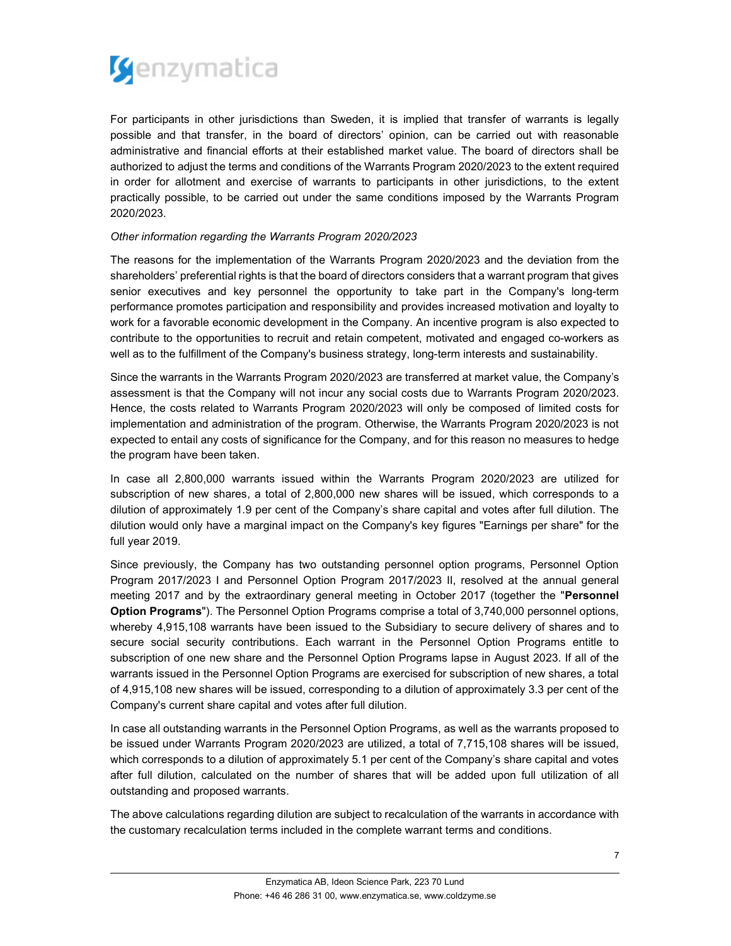

For participants in other jurisdictions than Sweden, it is implied that transfer of warrants is legally possible and that transfer, in the board of directors' opinion, can be carried out with reasonable administrative and financial efforts at their established market value. The board of directors shall be authorized to adjust the terms and conditions of the Warrants Program 2020/2023 to the extent required in order for allotment and exercise of warrants to participants in other jurisdictions, to the extent practically possible, to be carried out under the same conditions imposed by the Warrants Program 2020/2023.

# Other information regarding the Warrants Program 2020/2023

The reasons for the implementation of the Warrants Program 2020/2023 and the deviation from the shareholders' preferential rights is that the board of directors considers that a warrant program that gives senior executives and key personnel the opportunity to take part in the Company's long-term performance promotes participation and responsibility and provides increased motivation and loyalty to work for a favorable economic development in the Company. An incentive program is also expected to contribute to the opportunities to recruit and retain competent, motivated and engaged co-workers as well as to the fulfillment of the Company's business strategy, long-term interests and sustainability.

Since the warrants in the Warrants Program 2020/2023 are transferred at market value, the Company's assessment is that the Company will not incur any social costs due to Warrants Program 2020/2023. Hence, the costs related to Warrants Program 2020/2023 will only be composed of limited costs for implementation and administration of the program. Otherwise, the Warrants Program 2020/2023 is not expected to entail any costs of significance for the Company, and for this reason no measures to hedge the program have been taken.

In case all 2,800,000 warrants issued within the Warrants Program 2020/2023 are utilized for subscription of new shares, a total of 2,800,000 new shares will be issued, which corresponds to a dilution of approximately 1.9 per cent of the Company's share capital and votes after full dilution. The dilution would only have a marginal impact on the Company's key figures "Earnings per share" for the full year 2019.

Since previously, the Company has two outstanding personnel option programs, Personnel Option Program 2017/2023 I and Personnel Option Program 2017/2023 II, resolved at the annual general meeting 2017 and by the extraordinary general meeting in October 2017 (together the "Personnel Option Programs"). The Personnel Option Programs comprise a total of 3,740,000 personnel options, whereby 4,915,108 warrants have been issued to the Subsidiary to secure delivery of shares and to secure social security contributions. Each warrant in the Personnel Option Programs entitle to subscription of one new share and the Personnel Option Programs lapse in August 2023. If all of the warrants issued in the Personnel Option Programs are exercised for subscription of new shares, a total of 4,915,108 new shares will be issued, corresponding to a dilution of approximately 3.3 per cent of the Company's current share capital and votes after full dilution.

In case all outstanding warrants in the Personnel Option Programs, as well as the warrants proposed to be issued under Warrants Program 2020/2023 are utilized, a total of 7,715,108 shares will be issued, which corresponds to a dilution of approximately 5.1 per cent of the Company's share capital and votes after full dilution, calculated on the number of shares that will be added upon full utilization of all outstanding and proposed warrants.

The above calculations regarding dilution are subject to recalculation of the warrants in accordance with the customary recalculation terms included in the complete warrant terms and conditions.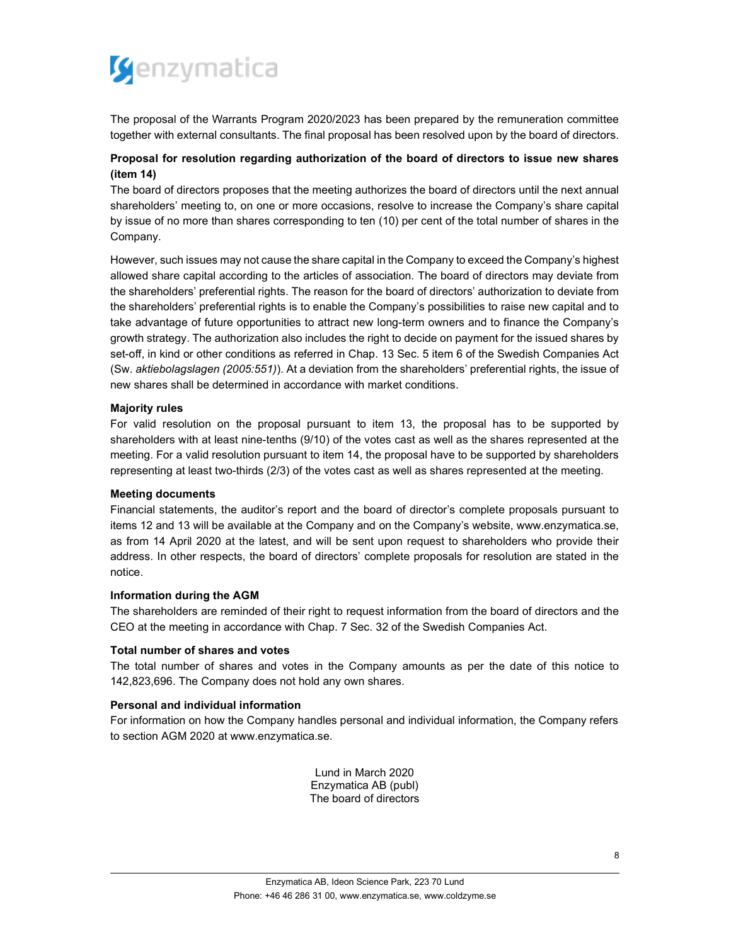

The proposal of the Warrants Program 2020/2023 has been prepared by the remuneration committee together with external consultants. The final proposal has been resolved upon by the board of directors.

# Proposal for resolution regarding authorization of the board of directors to issue new shares (item 14)

The board of directors proposes that the meeting authorizes the board of directors until the next annual shareholders' meeting to, on one or more occasions, resolve to increase the Company's share capital by issue of no more than shares corresponding to ten (10) per cent of the total number of shares in the Company.

However, such issues may not cause the share capital in the Company to exceed the Company's highest allowed share capital according to the articles of association. The board of directors may deviate from the shareholders' preferential rights. The reason for the board of directors' authorization to deviate from the shareholders' preferential rights is to enable the Company's possibilities to raise new capital and to take advantage of future opportunities to attract new long-term owners and to finance the Company's growth strategy. The authorization also includes the right to decide on payment for the issued shares by set-off, in kind or other conditions as referred in Chap. 13 Sec. 5 item 6 of the Swedish Companies Act (Sw. aktiebolagslagen (2005:551)). At a deviation from the shareholders' preferential rights, the issue of new shares shall be determined in accordance with market conditions.

## Majority rules

For valid resolution on the proposal pursuant to item 13, the proposal has to be supported by shareholders with at least nine-tenths (9/10) of the votes cast as well as the shares represented at the meeting. For a valid resolution pursuant to item 14, the proposal have to be supported by shareholders representing at least two-thirds (2/3) of the votes cast as well as shares represented at the meeting.

### Meeting documents

Financial statements, the auditor's report and the board of director's complete proposals pursuant to items 12 and 13 will be available at the Company and on the Company's website, www.enzymatica.se, as from 14 April 2020 at the latest, and will be sent upon request to shareholders who provide their address. In other respects, the board of directors' complete proposals for resolution are stated in the notice.

### Information during the AGM

The shareholders are reminded of their right to request information from the board of directors and the CEO at the meeting in accordance with Chap. 7 Sec. 32 of the Swedish Companies Act.

### Total number of shares and votes

The total number of shares and votes in the Company amounts as per the date of this notice to 142,823,696. The Company does not hold any own shares.

### Personal and individual information

For information on how the Company handles personal and individual information, the Company refers to section AGM 2020 at www.enzymatica.se.

> Lund in March 2020 Enzymatica AB (publ) The board of directors